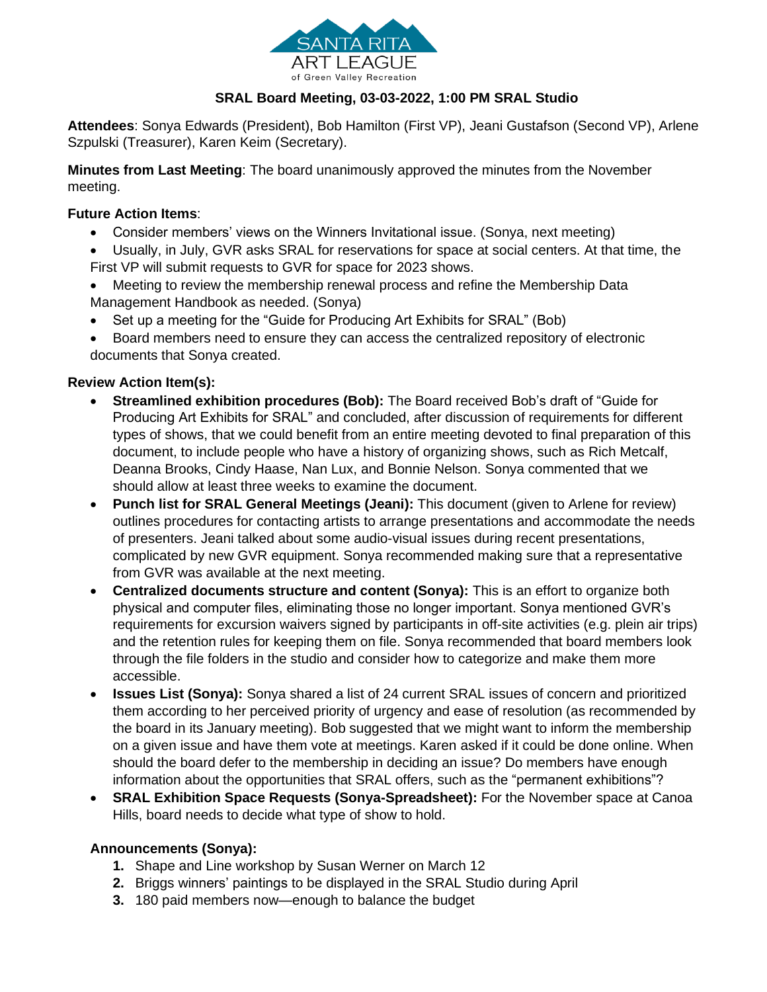

## **SRAL Board Meeting, 03-03-2022, 1:00 PM SRAL Studio**

**Attendees**: Sonya Edwards (President), Bob Hamilton (First VP), Jeani Gustafson (Second VP), Arlene Szpulski (Treasurer), Karen Keim (Secretary).

**Minutes from Last Meeting**: The board unanimously approved the minutes from the November meeting.

## **Future Action Items**:

- Consider members' views on the Winners Invitational issue. (Sonya, next meeting)
- Usually, in July, GVR asks SRAL for reservations for space at social centers. At that time, the First VP will submit requests to GVR for space for 2023 shows.
- Meeting to review the membership renewal process and refine the Membership Data Management Handbook as needed. (Sonya)
- Set up a meeting for the "Guide for Producing Art Exhibits for SRAL" (Bob)
- Board members need to ensure they can access the centralized repository of electronic documents that Sonya created.

## **Review Action Item(s):**

- **Streamlined exhibition procedures (Bob):** The Board received Bob's draft of "Guide for Producing Art Exhibits for SRAL" and concluded, after discussion of requirements for different types of shows, that we could benefit from an entire meeting devoted to final preparation of this document, to include people who have a history of organizing shows, such as Rich Metcalf, Deanna Brooks, Cindy Haase, Nan Lux, and Bonnie Nelson. Sonya commented that we should allow at least three weeks to examine the document.
- **Punch list for SRAL General Meetings (Jeani):** This document (given to Arlene for review) outlines procedures for contacting artists to arrange presentations and accommodate the needs of presenters. Jeani talked about some audio-visual issues during recent presentations, complicated by new GVR equipment. Sonya recommended making sure that a representative from GVR was available at the next meeting.
- **Centralized documents structure and content (Sonya):** This is an effort to organize both physical and computer files, eliminating those no longer important. Sonya mentioned GVR's requirements for excursion waivers signed by participants in off-site activities (e.g. plein air trips) and the retention rules for keeping them on file. Sonya recommended that board members look through the file folders in the studio and consider how to categorize and make them more accessible.
- **Issues List (Sonya):** Sonya shared a list of 24 current SRAL issues of concern and prioritized them according to her perceived priority of urgency and ease of resolution (as recommended by the board in its January meeting). Bob suggested that we might want to inform the membership on a given issue and have them vote at meetings. Karen asked if it could be done online. When should the board defer to the membership in deciding an issue? Do members have enough information about the opportunities that SRAL offers, such as the "permanent exhibitions"?
- **SRAL Exhibition Space Requests (Sonya-Spreadsheet):** For the November space at Canoa Hills, board needs to decide what type of show to hold.

## **Announcements (Sonya):**

- **1.** Shape and Line workshop by Susan Werner on March 12
- **2.** Briggs winners' paintings to be displayed in the SRAL Studio during April
- **3.** 180 paid members now—enough to balance the budget